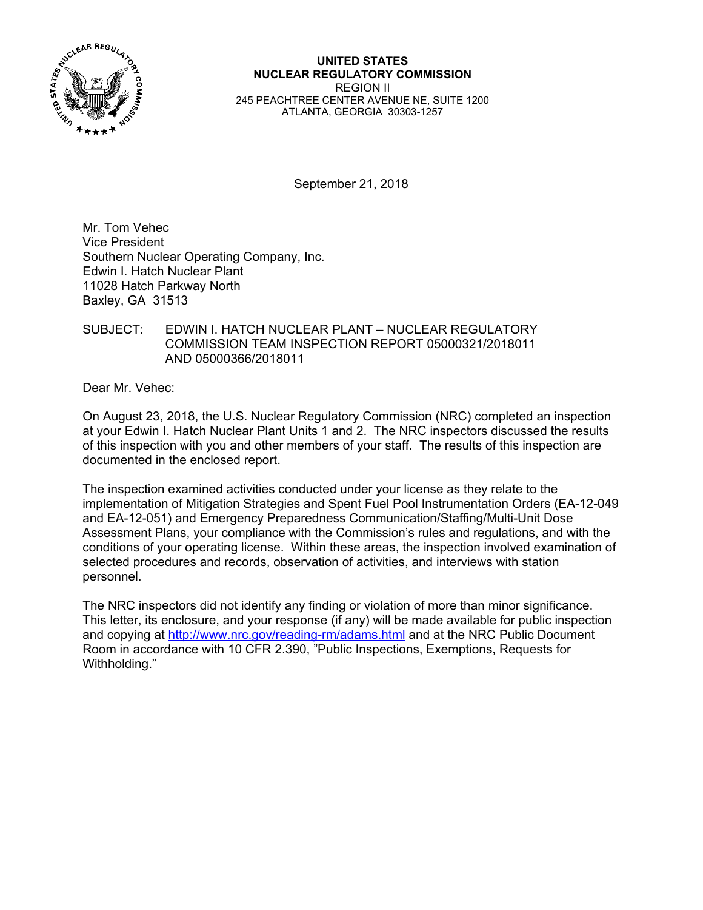

### **UNITED STATES NUCLEAR REGULATORY COMMISSION**  REGION II 245 PEACHTREE CENTER AVENUE NE, SUITE 1200 ATLANTA, GEORGIA 30303-1257

September 21, 2018

Mr. Tom Vehec Vice President Southern Nuclear Operating Company, Inc. Edwin I. Hatch Nuclear Plant 11028 Hatch Parkway North Baxley, GA 31513

## SUBJECT: EDWIN I. HATCH NUCLEAR PLANT – NUCLEAR REGULATORY COMMISSION TEAM INSPECTION REPORT 05000321/2018011 AND 05000366/2018011

Dear Mr. Vehec:

On August 23, 2018, the U.S. Nuclear Regulatory Commission (NRC) completed an inspection at your Edwin I. Hatch Nuclear Plant Units 1 and 2. The NRC inspectors discussed the results of this inspection with you and other members of your staff. The results of this inspection are documented in the enclosed report.

The inspection examined activities conducted under your license as they relate to the implementation of Mitigation Strategies and Spent Fuel Pool Instrumentation Orders (EA-12-049 and EA-12-051) and Emergency Preparedness Communication/Staffing/Multi-Unit Dose Assessment Plans, your compliance with the Commission's rules and regulations, and with the conditions of your operating license. Within these areas, the inspection involved examination of selected procedures and records, observation of activities, and interviews with station personnel.

The NRC inspectors did not identify any finding or violation of more than minor significance. This letter, its enclosure, and your response (if any) will be made available for public inspection and copying at http://www.nrc.gov/reading-rm/adams.html and at the NRC Public Document Room in accordance with 10 CFR 2.390, "Public Inspections, Exemptions, Requests for Withholding."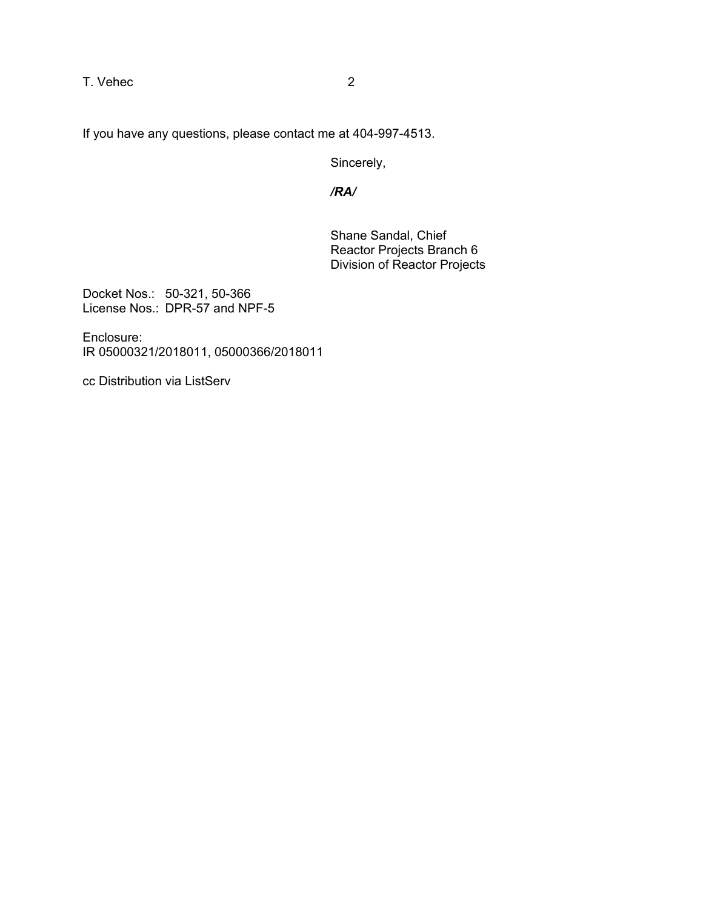T. Vehec 2

If you have any questions, please contact me at 404-997-4513.

Sincerely,

*/RA/* 

Shane Sandal, Chief Reactor Projects Branch 6 Division of Reactor Projects

Docket Nos.: 50-321, 50-366 License Nos.: DPR-57 and NPF-5

Enclosure: IR 05000321/2018011, 05000366/2018011

cc Distribution via ListServ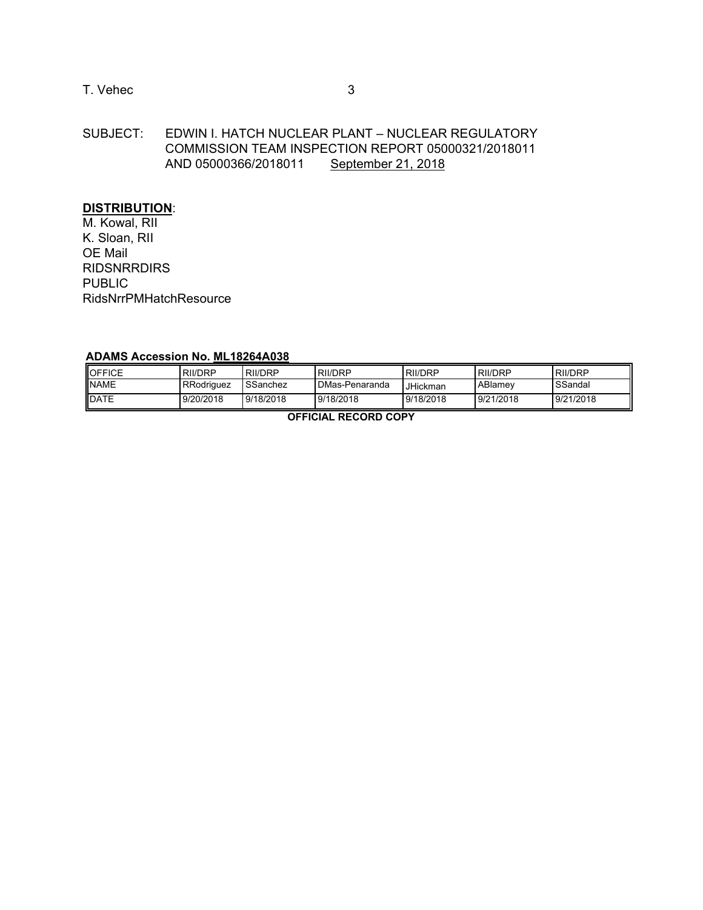# T. Vehec 3

# SUBJECT: EDWIN I. HATCH NUCLEAR PLANT – NUCLEAR REGULATORY COMMISSION TEAM INSPECTION REPORT 05000321/2018011 AND 05000366/2018011 September 21, 2018

# **DISTRIBUTION**:

M. Kowal, RII K. Sloan, RII OE Mail RIDSNRRDIRS PUBLIC RidsNrrPMHatchResource

### **ADAMS Accession No. ML18264A038**

| <b>IOFFICE</b> | RII/DRP    | RII/DRP   | <b>RII/DRP</b> | <b>RII/DRP</b> | <b>RII/DRP</b> | <b>RII/DRP</b> |
|----------------|------------|-----------|----------------|----------------|----------------|----------------|
| <b>NAME</b>    | RRodriguez | SSanchez  | DMas-Penaranda | JHickman       | ABlamev        | SSandal        |
| <b>IDATE</b>   | 9/20/2018  | 9/18/2018 | 9/18/2018      | 9/18/2018      | 9/21/2018      | 9/21/2018      |

**OFFICIAL RECORD COPY**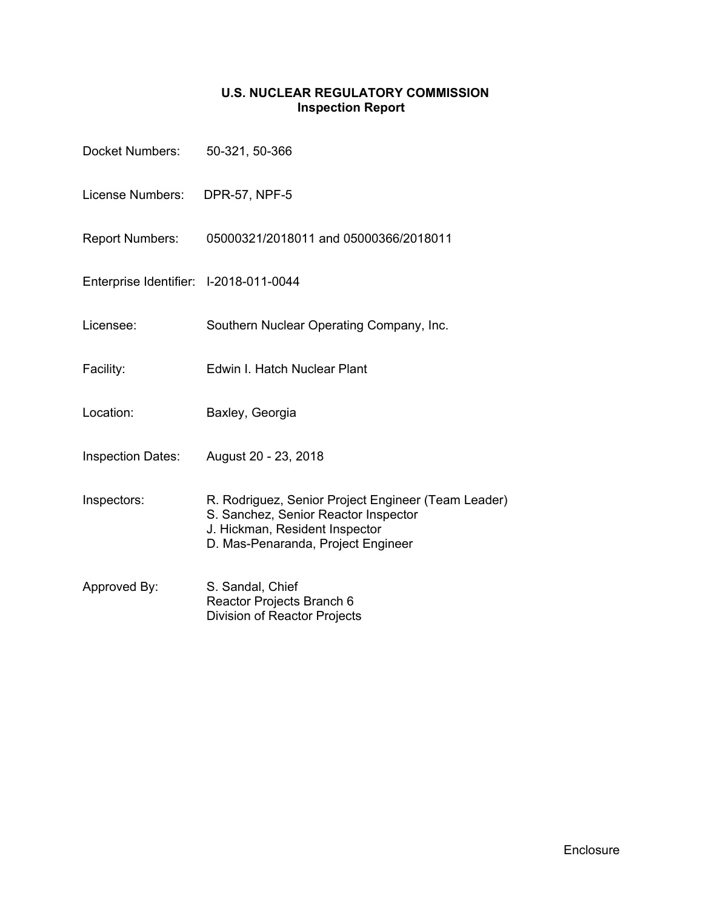# **U.S. NUCLEAR REGULATORY COMMISSION Inspection Report**

| Docket Numbers: 50-321, 50-366         |                                                                                                                                                                     |
|----------------------------------------|---------------------------------------------------------------------------------------------------------------------------------------------------------------------|
| License Numbers: DPR-57, NPF-5         |                                                                                                                                                                     |
| <b>Report Numbers:</b>                 | 05000321/2018011 and 05000366/2018011                                                                                                                               |
| Enterprise Identifier: I-2018-011-0044 |                                                                                                                                                                     |
| Licensee:                              | Southern Nuclear Operating Company, Inc.                                                                                                                            |
| Facility:                              | Edwin I. Hatch Nuclear Plant                                                                                                                                        |
| Location:                              | Baxley, Georgia                                                                                                                                                     |
| <b>Inspection Dates:</b>               | August 20 - 23, 2018                                                                                                                                                |
| Inspectors:                            | R. Rodriguez, Senior Project Engineer (Team Leader)<br>S. Sanchez, Senior Reactor Inspector<br>J. Hickman, Resident Inspector<br>D. Mas-Penaranda, Project Engineer |
| Approved By:                           | S. Sandal, Chief<br>Reactor Projects Branch 6<br><b>Division of Reactor Projects</b>                                                                                |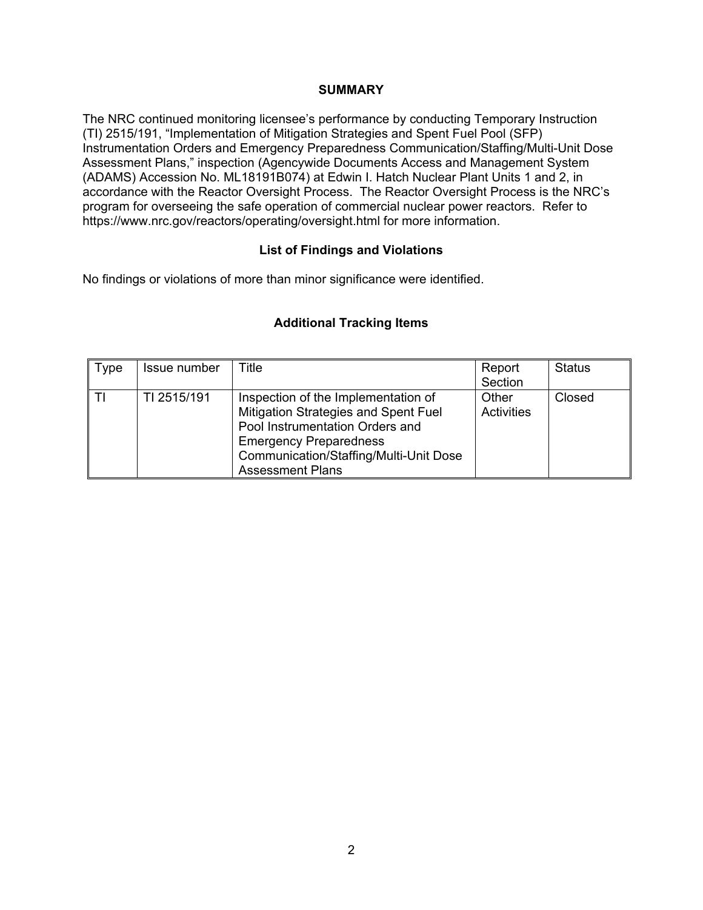## **SUMMARY**

The NRC continued monitoring licensee's performance by conducting Temporary Instruction (TI) 2515/191, "Implementation of Mitigation Strategies and Spent Fuel Pool (SFP) Instrumentation Orders and Emergency Preparedness Communication/Staffing/Multi-Unit Dose Assessment Plans," inspection (Agencywide Documents Access and Management System (ADAMS) Accession No. ML18191B074) at Edwin I. Hatch Nuclear Plant Units 1 and 2, in accordance with the Reactor Oversight Process. The Reactor Oversight Process is the NRC's program for overseeing the safe operation of commercial nuclear power reactors. Refer to https://www.nrc.gov/reactors/operating/oversight.html for more information.

## **List of Findings and Violations**

No findings or violations of more than minor significance were identified.

## **Additional Tracking Items**

| Type | Issue number | Title                                                                                                                                                                                     | Report                     | <b>Status</b> |
|------|--------------|-------------------------------------------------------------------------------------------------------------------------------------------------------------------------------------------|----------------------------|---------------|
|      |              |                                                                                                                                                                                           | Section                    |               |
|      | TI 2515/191  | Inspection of the Implementation of<br>Mitigation Strategies and Spent Fuel<br>Pool Instrumentation Orders and<br><b>Emergency Preparedness</b><br>Communication/Staffing/Multi-Unit Dose | Other<br><b>Activities</b> | Closed        |
|      |              | <b>Assessment Plans</b>                                                                                                                                                                   |                            |               |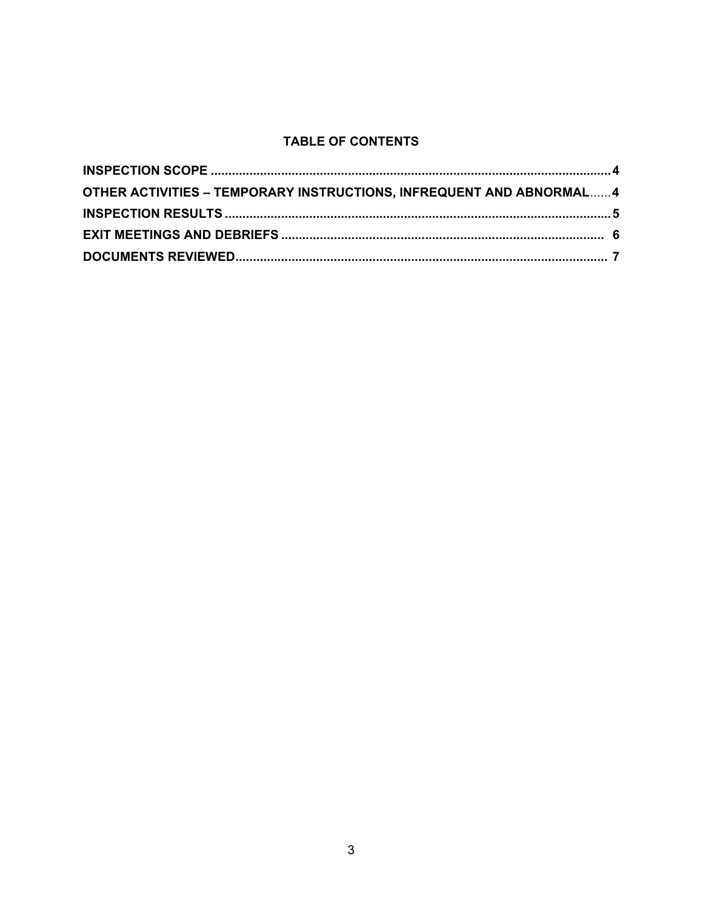# **TABLE OF CONTENTS**

| OTHER ACTIVITIES - TEMPORARY INSTRUCTIONS, INFREQUENT AND ABNORMAL 4 |  |
|----------------------------------------------------------------------|--|
|                                                                      |  |
|                                                                      |  |
|                                                                      |  |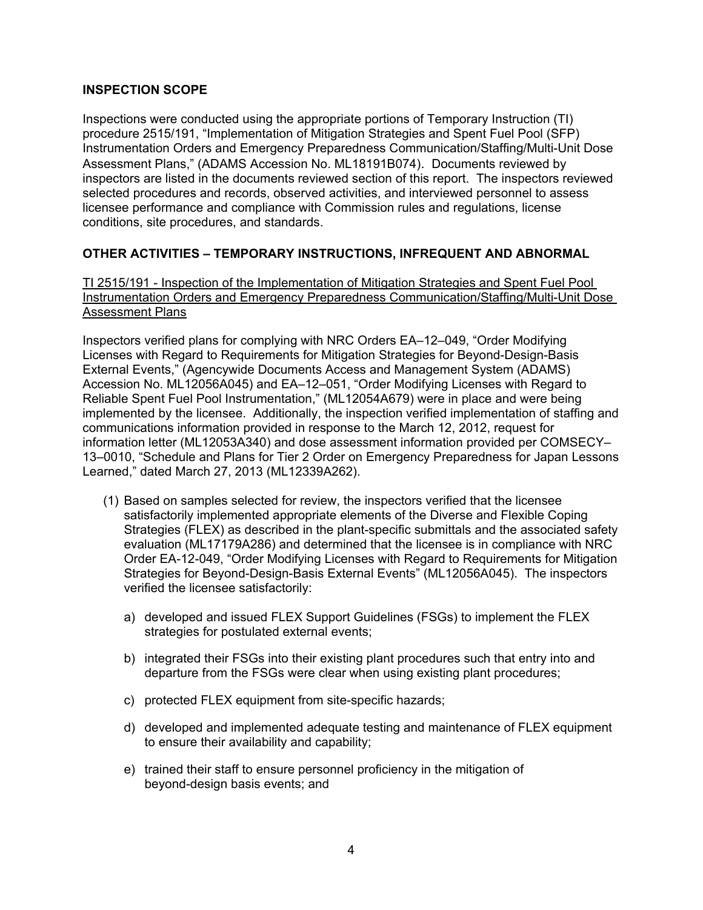## **INSPECTION SCOPE**

Inspections were conducted using the appropriate portions of Temporary Instruction (TI) procedure 2515/191, "Implementation of Mitigation Strategies and Spent Fuel Pool (SFP) Instrumentation Orders and Emergency Preparedness Communication/Staffing/Multi-Unit Dose Assessment Plans," (ADAMS Accession No. ML18191B074). Documents reviewed by inspectors are listed in the documents reviewed section of this report. The inspectors reviewed selected procedures and records, observed activities, and interviewed personnel to assess licensee performance and compliance with Commission rules and regulations, license conditions, site procedures, and standards.

# **OTHER ACTIVITIES – TEMPORARY INSTRUCTIONS, INFREQUENT AND ABNORMAL**

TI 2515/191 - Inspection of the Implementation of Mitigation Strategies and Spent Fuel Pool Instrumentation Orders and Emergency Preparedness Communication/Staffing/Multi-Unit Dose **Assessment Plans** 

Inspectors verified plans for complying with NRC Orders EA–12–049, "Order Modifying Licenses with Regard to Requirements for Mitigation Strategies for Beyond-Design-Basis External Events," (Agencywide Documents Access and Management System (ADAMS) Accession No. ML12056A045) and EA–12–051, "Order Modifying Licenses with Regard to Reliable Spent Fuel Pool Instrumentation," (ML12054A679) were in place and were being implemented by the licensee. Additionally, the inspection verified implementation of staffing and communications information provided in response to the March 12, 2012, request for information letter (ML12053A340) and dose assessment information provided per COMSECY– 13–0010, "Schedule and Plans for Tier 2 Order on Emergency Preparedness for Japan Lessons Learned," dated March 27, 2013 (ML12339A262).

- (1) Based on samples selected for review, the inspectors verified that the licensee satisfactorily implemented appropriate elements of the Diverse and Flexible Coping Strategies (FLEX) as described in the plant-specific submittals and the associated safety evaluation (ML17179A286) and determined that the licensee is in compliance with NRC Order EA-12-049, "Order Modifying Licenses with Regard to Requirements for Mitigation Strategies for Beyond-Design-Basis External Events" (ML12056A045). The inspectors verified the licensee satisfactorily:
	- a) developed and issued FLEX Support Guidelines (FSGs) to implement the FLEX strategies for postulated external events;
	- b) integrated their FSGs into their existing plant procedures such that entry into and departure from the FSGs were clear when using existing plant procedures;
	- c) protected FLEX equipment from site-specific hazards;
	- d) developed and implemented adequate testing and maintenance of FLEX equipment to ensure their availability and capability;
	- e) trained their staff to ensure personnel proficiency in the mitigation of beyond-design basis events; and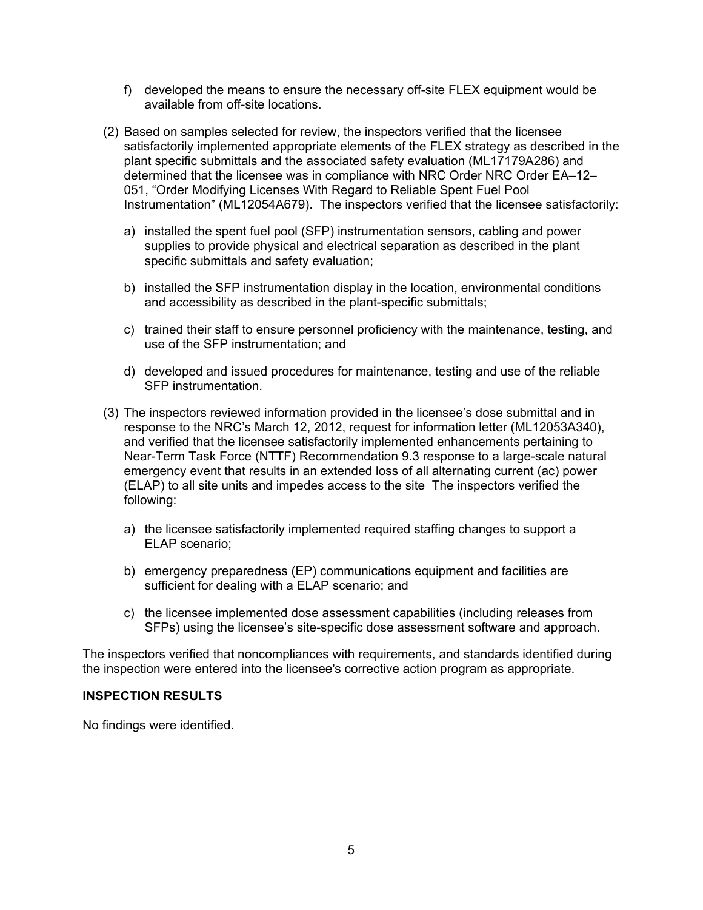- f) developed the means to ensure the necessary off-site FLEX equipment would be available from off-site locations.
- (2) Based on samples selected for review, the inspectors verified that the licensee satisfactorily implemented appropriate elements of the FLEX strategy as described in the plant specific submittals and the associated safety evaluation (ML17179A286) and determined that the licensee was in compliance with NRC Order NRC Order EA–12– 051, "Order Modifying Licenses With Regard to Reliable Spent Fuel Pool Instrumentation" (ML12054A679). The inspectors verified that the licensee satisfactorily:
	- a) installed the spent fuel pool (SFP) instrumentation sensors, cabling and power supplies to provide physical and electrical separation as described in the plant specific submittals and safety evaluation;
	- b) installed the SFP instrumentation display in the location, environmental conditions and accessibility as described in the plant-specific submittals;
	- c) trained their staff to ensure personnel proficiency with the maintenance, testing, and use of the SFP instrumentation; and
	- d) developed and issued procedures for maintenance, testing and use of the reliable SFP instrumentation.
- (3) The inspectors reviewed information provided in the licensee's dose submittal and in response to the NRC's March 12, 2012, request for information letter (ML12053A340), and verified that the licensee satisfactorily implemented enhancements pertaining to Near-Term Task Force (NTTF) Recommendation 9.3 response to a large-scale natural emergency event that results in an extended loss of all alternating current (ac) power (ELAP) to all site units and impedes access to the site The inspectors verified the following:
	- a) the licensee satisfactorily implemented required staffing changes to support a ELAP scenario;
	- b) emergency preparedness (EP) communications equipment and facilities are sufficient for dealing with a ELAP scenario; and
	- c) the licensee implemented dose assessment capabilities (including releases from SFPs) using the licensee's site-specific dose assessment software and approach.

The inspectors verified that noncompliances with requirements, and standards identified during the inspection were entered into the licensee's corrective action program as appropriate.

## **INSPECTION RESULTS**

No findings were identified.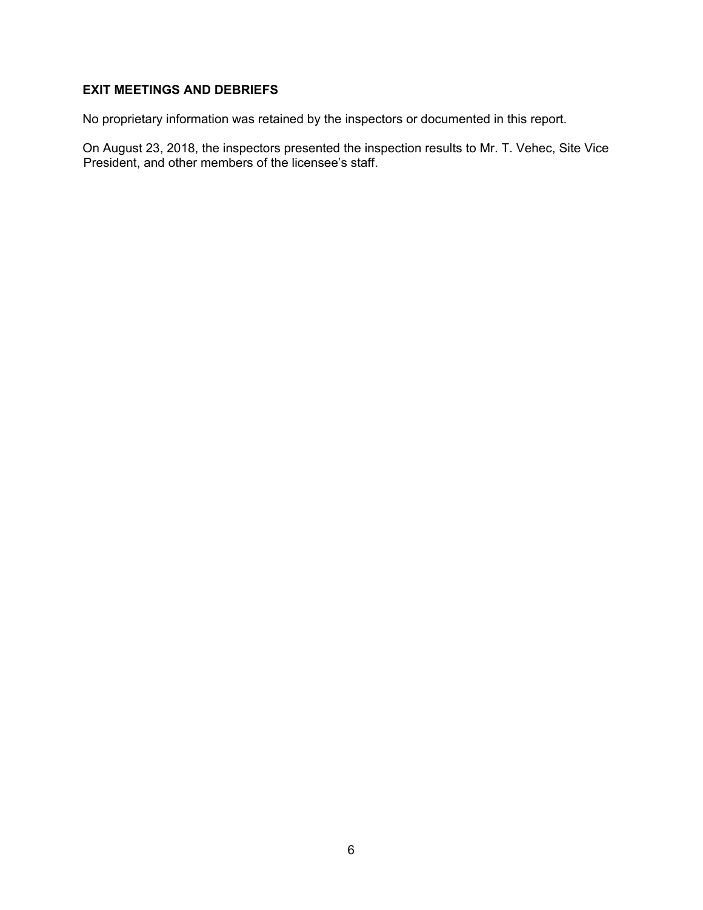# **EXIT MEETINGS AND DEBRIEFS**

No proprietary information was retained by the inspectors or documented in this report.

On August 23, 2018, the inspectors presented the inspection results to Mr. T. Vehec, Site Vice President, and other members of the licensee's staff.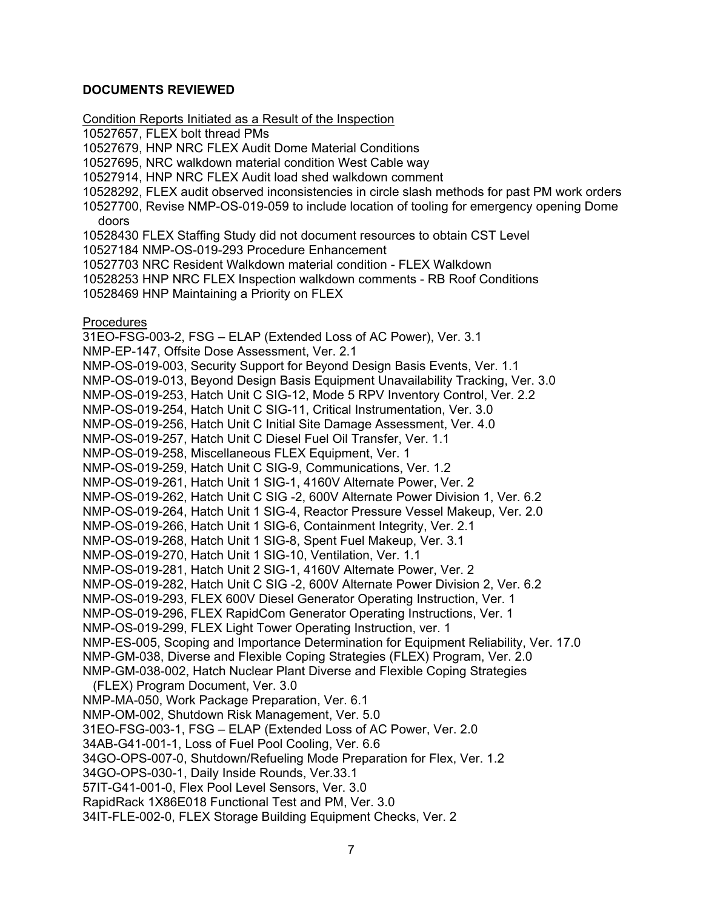## **DOCUMENTS REVIEWED**

Condition Reports Initiated as a Result of the Inspection 10527657, FLEX bolt thread PMs 10527679, HNP NRC FLEX Audit Dome Material Conditions 10527695, NRC walkdown material condition West Cable way 10527914, HNP NRC FLEX Audit load shed walkdown comment 10528292, FLEX audit observed inconsistencies in circle slash methods for past PM work orders 10527700, Revise NMP-OS-019-059 to include location of tooling for emergency opening Dome doors 10528430 FLEX Staffing Study did not document resources to obtain CST Level 10527184 NMP-OS-019-293 Procedure Enhancement 10527703 NRC Resident Walkdown material condition - FLEX Walkdown 10528253 HNP NRC FLEX Inspection walkdown comments - RB Roof Conditions 10528469 HNP Maintaining a Priority on FLEX **Procedures** 31EO-FSG-003-2, FSG – ELAP (Extended Loss of AC Power), Ver. 3.1 NMP-EP-147, Offsite Dose Assessment, Ver. 2.1 NMP-OS-019-003, Security Support for Beyond Design Basis Events, Ver. 1.1 NMP-OS-019-013, Beyond Design Basis Equipment Unavailability Tracking, Ver. 3.0 NMP-OS-019-253, Hatch Unit C SIG-12, Mode 5 RPV Inventory Control, Ver. 2.2 NMP-OS-019-254, Hatch Unit C SIG-11, Critical Instrumentation, Ver. 3.0 NMP-OS-019-256, Hatch Unit C Initial Site Damage Assessment, Ver. 4.0 NMP-OS-019-257, Hatch Unit C Diesel Fuel Oil Transfer, Ver. 1.1 NMP-OS-019-258, Miscellaneous FLEX Equipment, Ver. 1 NMP-OS-019-259, Hatch Unit C SIG-9, Communications, Ver. 1.2 NMP-OS-019-261, Hatch Unit 1 SIG-1, 4160V Alternate Power, Ver. 2 NMP-OS-019-262, Hatch Unit C SIG -2, 600V Alternate Power Division 1, Ver. 6.2 NMP-OS-019-264, Hatch Unit 1 SIG-4, Reactor Pressure Vessel Makeup, Ver. 2.0 NMP-OS-019-266, Hatch Unit 1 SIG-6, Containment Integrity, Ver. 2.1 NMP-OS-019-268, Hatch Unit 1 SIG-8, Spent Fuel Makeup, Ver. 3.1 NMP-OS-019-270, Hatch Unit 1 SIG-10, Ventilation, Ver. 1.1 NMP-OS-019-281, Hatch Unit 2 SIG-1, 4160V Alternate Power, Ver. 2 NMP-OS-019-282, Hatch Unit C SIG -2, 600V Alternate Power Division 2, Ver. 6.2 NMP-OS-019-293, FLEX 600V Diesel Generator Operating Instruction, Ver. 1 NMP-OS-019-296, FLEX RapidCom Generator Operating Instructions, Ver. 1 NMP-OS-019-299, FLEX Light Tower Operating Instruction, ver. 1 NMP-ES-005, Scoping and Importance Determination for Equipment Reliability, Ver. 17.0 NMP-GM-038, Diverse and Flexible Coping Strategies (FLEX) Program, Ver. 2.0 NMP-GM-038-002, Hatch Nuclear Plant Diverse and Flexible Coping Strategies (FLEX) Program Document, Ver. 3.0 NMP-MA-050, Work Package Preparation, Ver. 6.1 NMP-OM-002, Shutdown Risk Management, Ver. 5.0 31EO-FSG-003-1, FSG – ELAP (Extended Loss of AC Power, Ver. 2.0 34AB-G41-001-1, Loss of Fuel Pool Cooling, Ver. 6.6 34GO-OPS-007-0, Shutdown/Refueling Mode Preparation for Flex, Ver. 1.2 34GO-OPS-030-1, Daily Inside Rounds, Ver.33.1 57IT-G41-001-0, Flex Pool Level Sensors, Ver. 3.0 RapidRack 1X86E018 Functional Test and PM, Ver. 3.0 34IT-FLE-002-0, FLEX Storage Building Equipment Checks, Ver. 2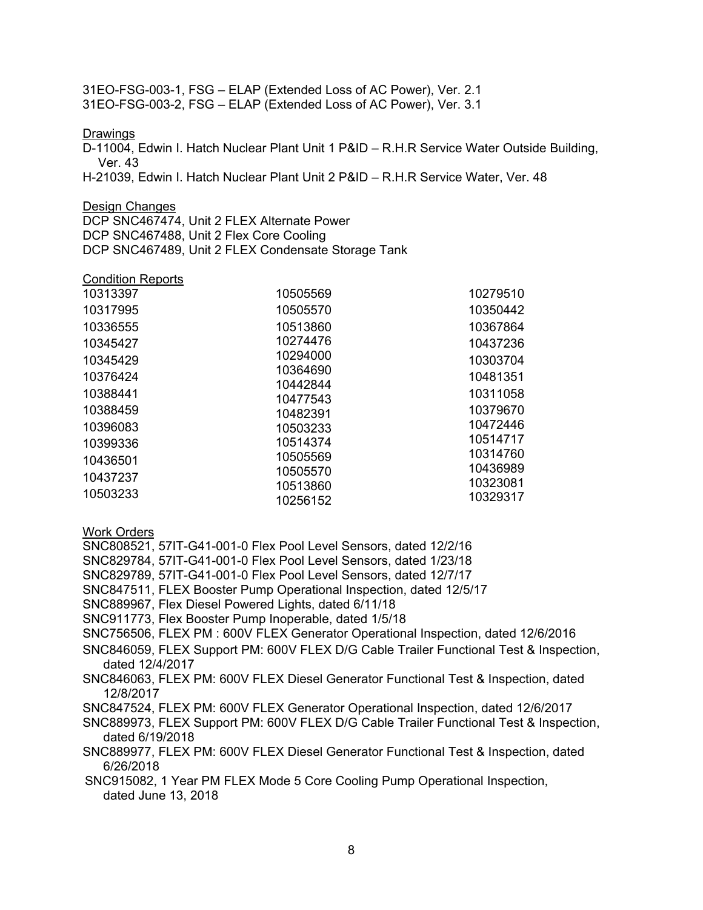31EO-FSG-003-1, FSG – ELAP (Extended Loss of AC Power), Ver. 2.1 31EO-FSG-003-2, FSG – ELAP (Extended Loss of AC Power), Ver. 3.1

### Drawings

D-11004, Edwin I. Hatch Nuclear Plant Unit 1 P&ID – R.H.R Service Water Outside Building, Ver. 43

H-21039, Edwin I. Hatch Nuclear Plant Unit 2 P&ID – R.H.R Service Water, Ver. 48

### Design Changes

DCP SNC467474, Unit 2 FLEX Alternate Power DCP SNC467488, Unit 2 Flex Core Cooling DCP SNC467489, Unit 2 FLEX Condensate Storage Tank

### Condition Reports

| 10505569 | 10279510                                     |
|----------|----------------------------------------------|
| 10505570 | 10350442                                     |
| 10513860 | 10367864                                     |
| 10274476 | 10437236                                     |
| 10294000 | 10303704                                     |
|          | 10481351                                     |
|          | 10311058                                     |
|          | 10379670                                     |
| 10503233 | 10472446                                     |
| 10514374 | 10514717                                     |
| 10505569 | 10314760                                     |
| 10505570 | 10436989                                     |
| 10513860 | 10323081                                     |
| 10256152 | 10329317                                     |
|          | 10364690<br>10442844<br>10477543<br>10482391 |

### Work Orders

- SNC808521, 57IT-G41-001-0 Flex Pool Level Sensors, dated 12/2/16
- SNC829784, 57IT-G41-001-0 Flex Pool Level Sensors, dated 1/23/18
- SNC829789, 57IT-G41-001-0 Flex Pool Level Sensors, dated 12/7/17
- SNC847511, FLEX Booster Pump Operational Inspection, dated 12/5/17
- SNC889967, Flex Diesel Powered Lights, dated 6/11/18
- SNC911773, Flex Booster Pump Inoperable, dated 1/5/18
- SNC756506, FLEX PM : 600V FLEX Generator Operational Inspection, dated 12/6/2016
- SNC846059, FLEX Support PM: 600V FLEX D/G Cable Trailer Functional Test & Inspection, dated 12/4/2017
- SNC846063, FLEX PM: 600V FLEX Diesel Generator Functional Test & Inspection, dated 12/8/2017
- SNC847524, FLEX PM: 600V FLEX Generator Operational Inspection, dated 12/6/2017
- SNC889973, FLEX Support PM: 600V FLEX D/G Cable Trailer Functional Test & Inspection, dated 6/19/2018
- SNC889977, FLEX PM: 600V FLEX Diesel Generator Functional Test & Inspection, dated 6/26/2018
- SNC915082, 1 Year PM FLEX Mode 5 Core Cooling Pump Operational Inspection, dated June 13, 2018